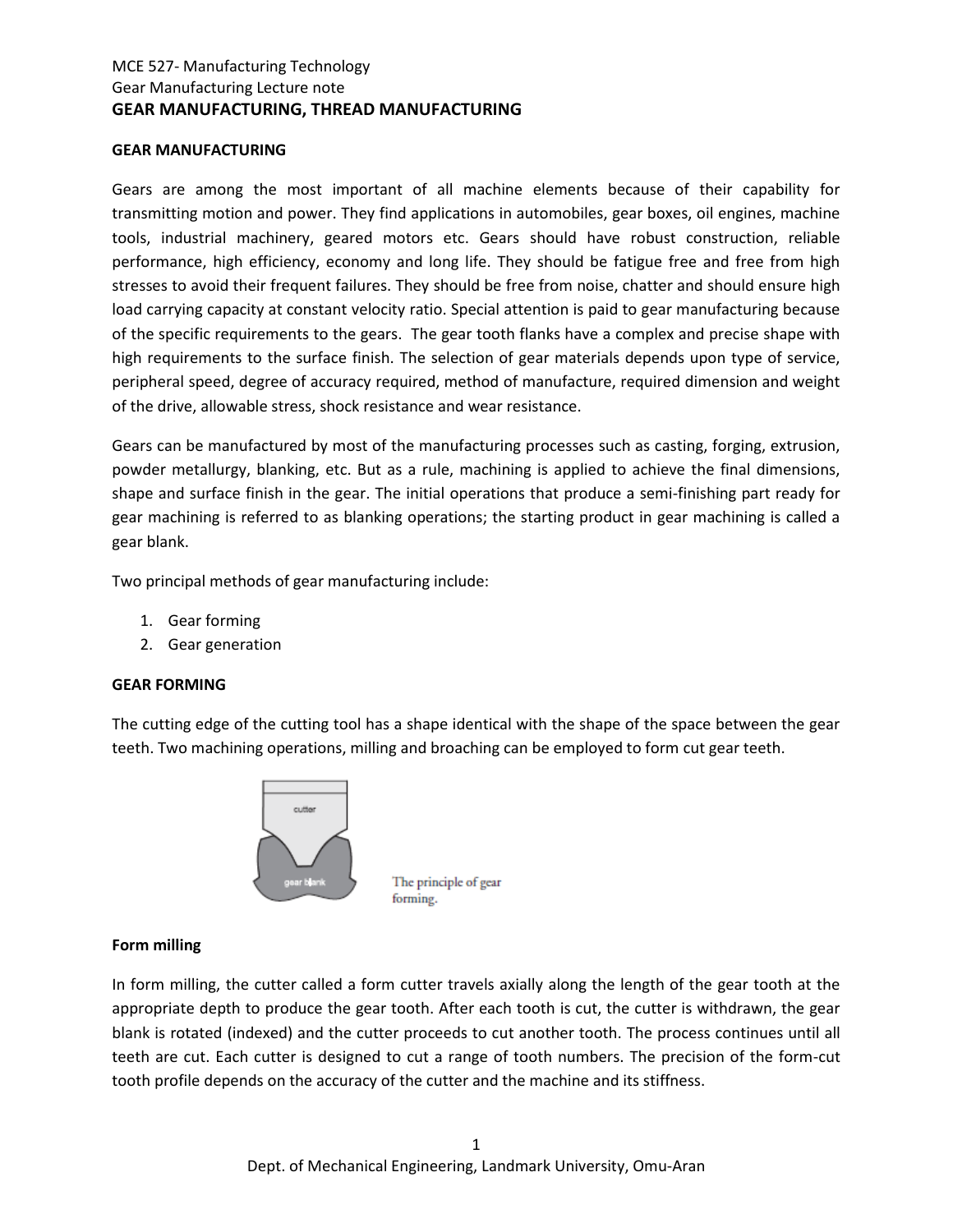## MCE 527- Manufacturing Technology Gear Manufacturing Lecture note **GEAR MANUFACTURING, THREAD MANUFACTURING**

#### **GEAR MANUFACTURING**

Gears are among the most important of all machine elements because of their capability for transmitting motion and power. They find applications in automobiles, gear boxes, oil engines, machine tools, industrial machinery, geared motors etc. Gears should have robust construction, reliable performance, high efficiency, economy and long life. They should be fatigue free and free from high stresses to avoid their frequent failures. They should be free from noise, chatter and should ensure high load carrying capacity at constant velocity ratio. Special attention is paid to gear manufacturing because of the specific requirements to the gears. The gear tooth flanks have a complex and precise shape with high requirements to the surface finish. The selection of gear materials depends upon type of service, peripheral speed, degree of accuracy required, method of manufacture, required dimension and weight of the drive, allowable stress, shock resistance and wear resistance.

Gears can be manufactured by most of the manufacturing processes such as casting, forging, extrusion, powder metallurgy, blanking, etc. But as a rule, machining is applied to achieve the final dimensions, shape and surface finish in the gear. The initial operations that produce a semi-finishing part ready for gear machining is referred to as blanking operations; the starting product in gear machining is called a gear blank.

Two principal methods of gear manufacturing include:

- 1. Gear forming
- 2. Gear generation

### **GEAR FORMING**

The cutting edge of the cutting tool has a shape identical with the shape of the space between the gear teeth. Two machining operations, milling and broaching can be employed to form cut gear teeth.



The principle of gear forming.

#### **Form milling**

In form milling, the cutter called a form cutter travels axially along the length of the gear tooth at the appropriate depth to produce the gear tooth. After each tooth is cut, the cutter is withdrawn, the gear blank is rotated (indexed) and the cutter proceeds to cut another tooth. The process continues until all teeth are cut. Each cutter is designed to cut a range of tooth numbers. The precision of the form-cut tooth profile depends on the accuracy of the cutter and the machine and its stiffness.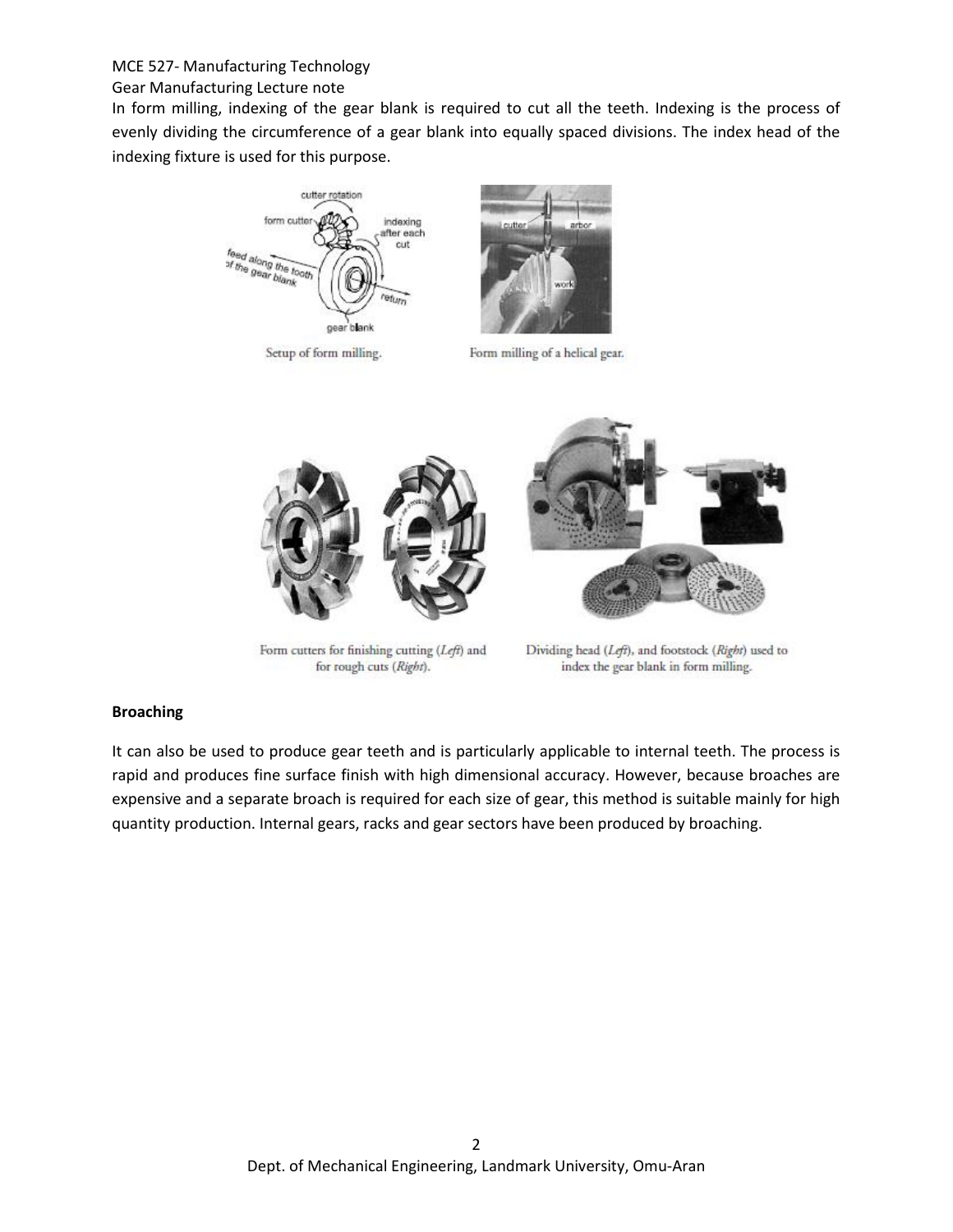# MCE 527- Manufacturing Technology

### Gear Manufacturing Lecture note

In form milling, indexing of the gear blank is required to cut all the teeth. Indexing is the process of evenly dividing the circumference of a gear blank into equally spaced divisions. The index head of the indexing fixture is used for this purpose.



Setup of form milling.



Form milling of a helical gear.



Form cutters for finishing cutting (Left) and for rough cuts (Right).

Dividing head (Left), and footstock (Right) used to index the gear blank in form milling.

### **Broaching**

It can also be used to produce gear teeth and is particularly applicable to internal teeth. The process is rapid and produces fine surface finish with high dimensional accuracy. However, because broaches are expensive and a separate broach is required for each size of gear, this method is suitable mainly for high quantity production. Internal gears, racks and gear sectors have been produced by broaching.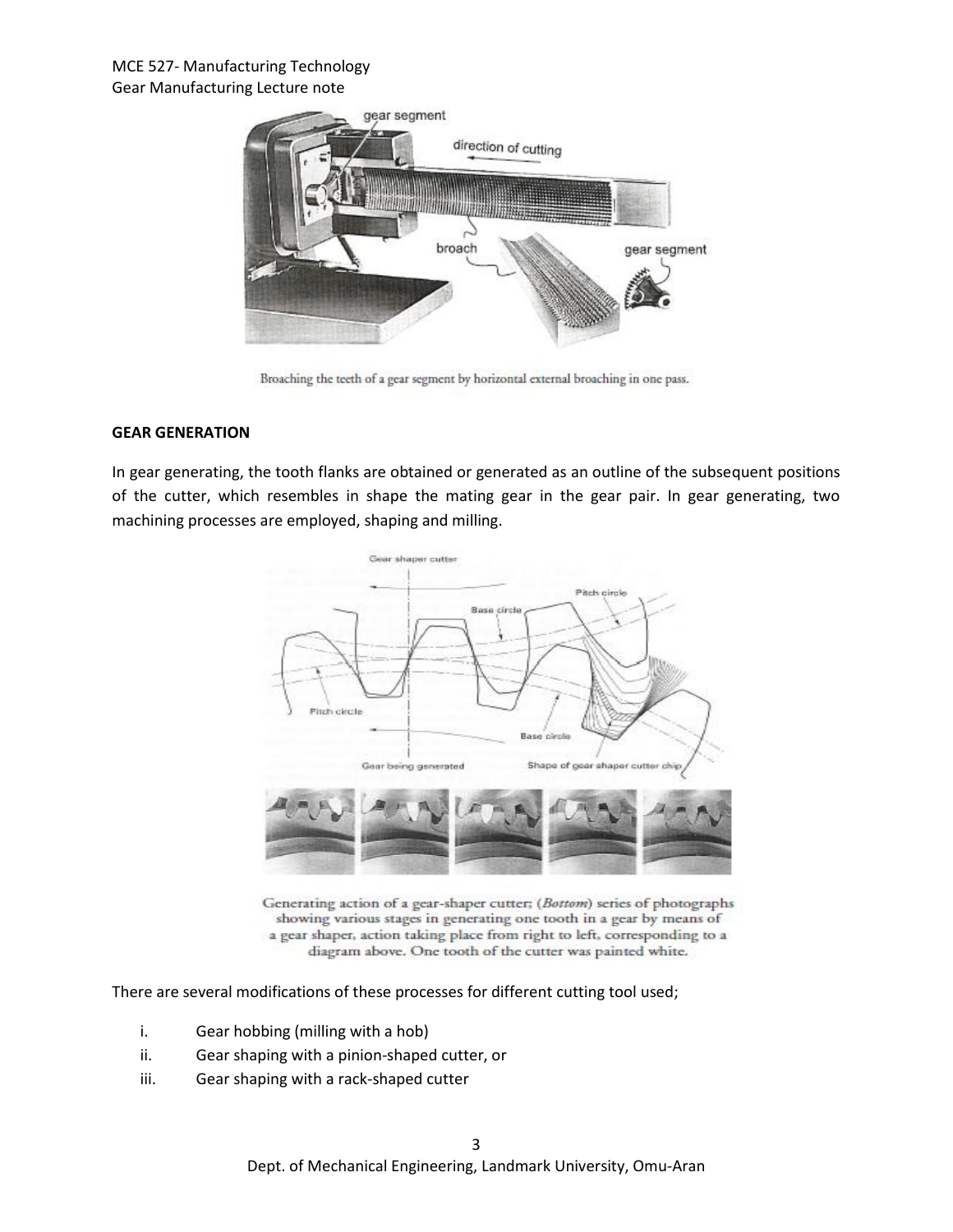## MCE 527- Manufacturing Technology Gear Manufacturing Lecture note



Broaching the teeth of a gear segment by horizontal external broaching in one pass.

### **GEAR GENERATION**

In gear generating, the tooth flanks are obtained or generated as an outline of the subsequent positions of the cutter, which resembles in shape the mating gear in the gear pair. In gear generating, two machining processes are employed, shaping and milling.



Generating action of a gear-shaper cutter; (Bottom) series of photographs showing various stages in generating one tooth in a gear by means of a gear shaper, action taking place from right to left, corresponding to a diagram above. One tooth of the cutter was painted white.

There are several modifications of these processes for different cutting tool used;

- i. Gear hobbing (milling with a hob)
- ii. Gear shaping with a pinion-shaped cutter, or
- iii. Gear shaping with a rack-shaped cutter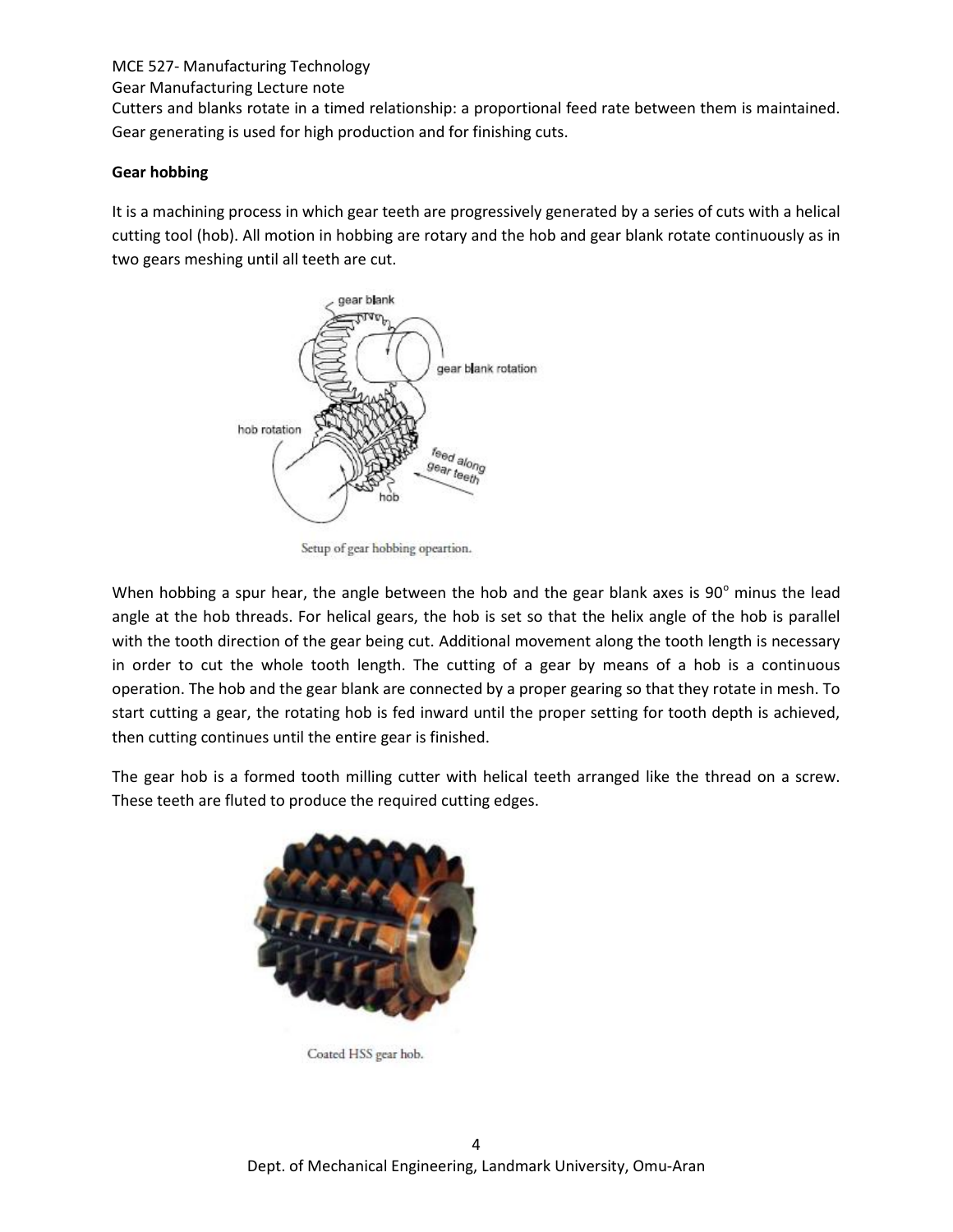# MCE 527- Manufacturing Technology

Gear Manufacturing Lecture note

Cutters and blanks rotate in a timed relationship: a proportional feed rate between them is maintained. Gear generating is used for high production and for finishing cuts.

# **Gear hobbing**

It is a machining process in which gear teeth are progressively generated by a series of cuts with a helical cutting tool (hob). All motion in hobbing are rotary and the hob and gear blank rotate continuously as in two gears meshing until all teeth are cut.



Setup of gear hobbing opeartion.

When hobbing a spur hear, the angle between the hob and the gear blank axes is  $90^{\circ}$  minus the lead angle at the hob threads. For helical gears, the hob is set so that the helix angle of the hob is parallel with the tooth direction of the gear being cut. Additional movement along the tooth length is necessary in order to cut the whole tooth length. The cutting of a gear by means of a hob is a continuous operation. The hob and the gear blank are connected by a proper gearing so that they rotate in mesh. To start cutting a gear, the rotating hob is fed inward until the proper setting for tooth depth is achieved, then cutting continues until the entire gear is finished.

The gear hob is a formed tooth milling cutter with helical teeth arranged like the thread on a screw. These teeth are fluted to produce the required cutting edges.

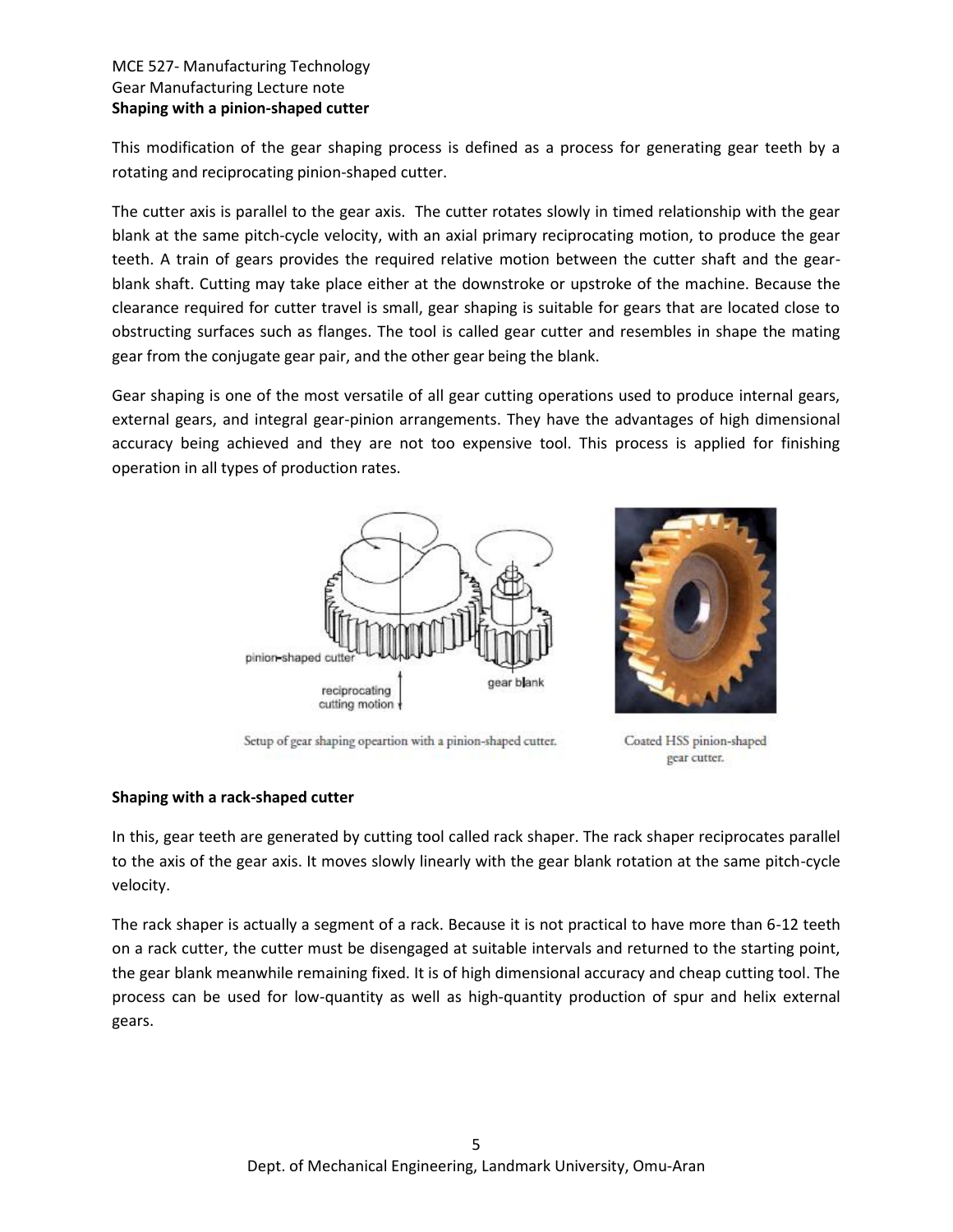### MCE 527- Manufacturing Technology Gear Manufacturing Lecture note **Shaping with a pinion-shaped cutter**

This modification of the gear shaping process is defined as a process for generating gear teeth by a rotating and reciprocating pinion-shaped cutter.

The cutter axis is parallel to the gear axis. The cutter rotates slowly in timed relationship with the gear blank at the same pitch-cycle velocity, with an axial primary reciprocating motion, to produce the gear teeth. A train of gears provides the required relative motion between the cutter shaft and the gearblank shaft. Cutting may take place either at the downstroke or upstroke of the machine. Because the clearance required for cutter travel is small, gear shaping is suitable for gears that are located close to obstructing surfaces such as flanges. The tool is called gear cutter and resembles in shape the mating gear from the conjugate gear pair, and the other gear being the blank.

Gear shaping is one of the most versatile of all gear cutting operations used to produce internal gears, external gears, and integral gear-pinion arrangements. They have the advantages of high dimensional accuracy being achieved and they are not too expensive tool. This process is applied for finishing operation in all types of production rates.



Setup of gear shaping opeartion with a pinion-shaped cutter.



Coated HSS pinion-shaped gear cutter.

# **Shaping with a rack-shaped cutter**

In this, gear teeth are generated by cutting tool called rack shaper. The rack shaper reciprocates parallel to the axis of the gear axis. It moves slowly linearly with the gear blank rotation at the same pitch-cycle velocity.

The rack shaper is actually a segment of a rack. Because it is not practical to have more than 6-12 teeth on a rack cutter, the cutter must be disengaged at suitable intervals and returned to the starting point, the gear blank meanwhile remaining fixed. It is of high dimensional accuracy and cheap cutting tool. The process can be used for low-quantity as well as high-quantity production of spur and helix external gears.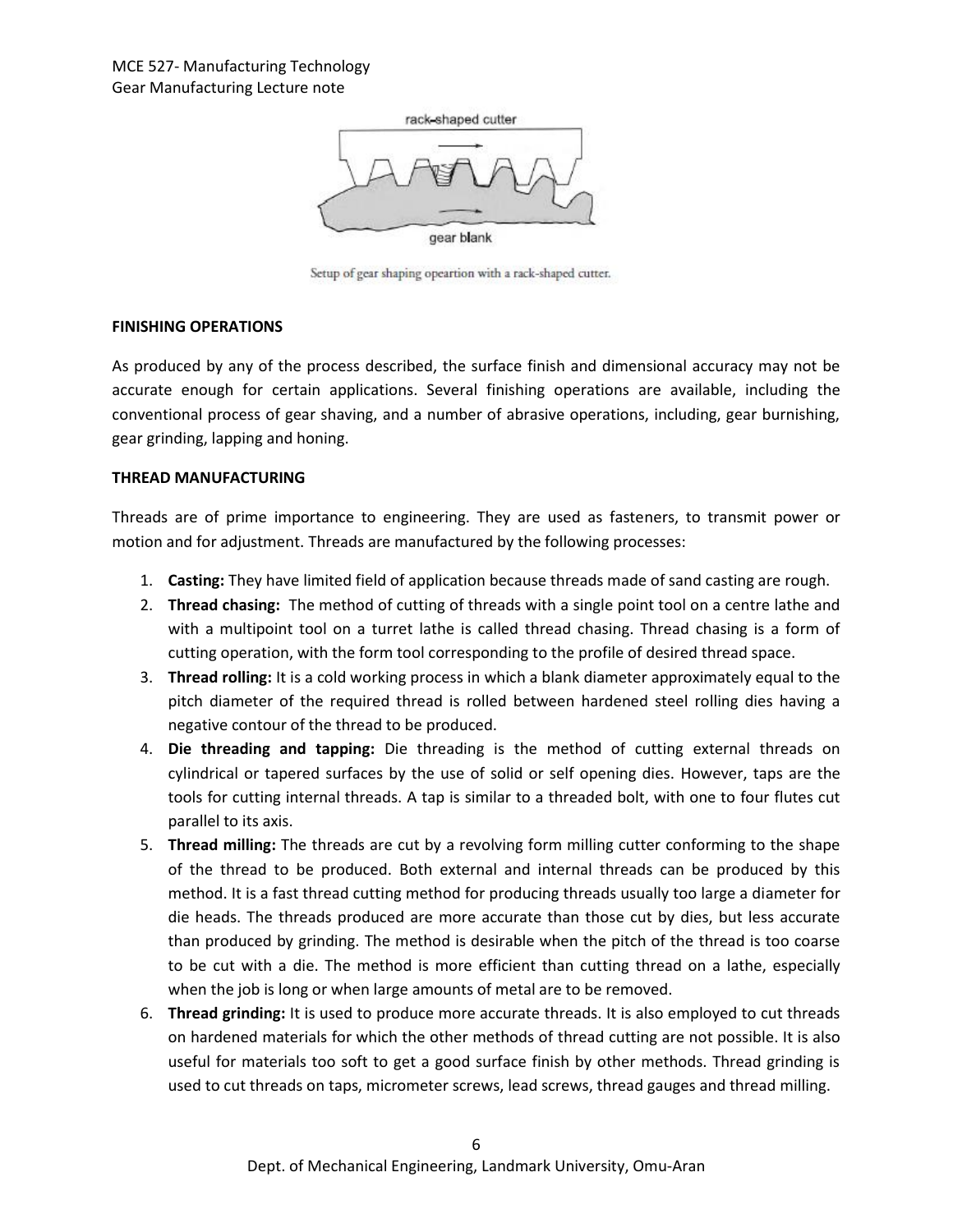

Setup of gear shaping opeartion with a rack-shaped cutter.

### **FINISHING OPERATIONS**

As produced by any of the process described, the surface finish and dimensional accuracy may not be accurate enough for certain applications. Several finishing operations are available, including the conventional process of gear shaving, and a number of abrasive operations, including, gear burnishing, gear grinding, lapping and honing.

### **THREAD MANUFACTURING**

Threads are of prime importance to engineering. They are used as fasteners, to transmit power or motion and for adjustment. Threads are manufactured by the following processes:

- 1. **Casting:** They have limited field of application because threads made of sand casting are rough.
- 2. **Thread chasing:** The method of cutting of threads with a single point tool on a centre lathe and with a multipoint tool on a turret lathe is called thread chasing. Thread chasing is a form of cutting operation, with the form tool corresponding to the profile of desired thread space.
- 3. **Thread rolling:** It is a cold working process in which a blank diameter approximately equal to the pitch diameter of the required thread is rolled between hardened steel rolling dies having a negative contour of the thread to be produced.
- 4. **Die threading and tapping:** Die threading is the method of cutting external threads on cylindrical or tapered surfaces by the use of solid or self opening dies. However, taps are the tools for cutting internal threads. A tap is similar to a threaded bolt, with one to four flutes cut parallel to its axis.
- 5. **Thread milling:** The threads are cut by a revolving form milling cutter conforming to the shape of the thread to be produced. Both external and internal threads can be produced by this method. It is a fast thread cutting method for producing threads usually too large a diameter for die heads. The threads produced are more accurate than those cut by dies, but less accurate than produced by grinding. The method is desirable when the pitch of the thread is too coarse to be cut with a die. The method is more efficient than cutting thread on a lathe, especially when the job is long or when large amounts of metal are to be removed.
- 6. **Thread grinding:** It is used to produce more accurate threads. It is also employed to cut threads on hardened materials for which the other methods of thread cutting are not possible. It is also useful for materials too soft to get a good surface finish by other methods. Thread grinding is used to cut threads on taps, micrometer screws, lead screws, thread gauges and thread milling.